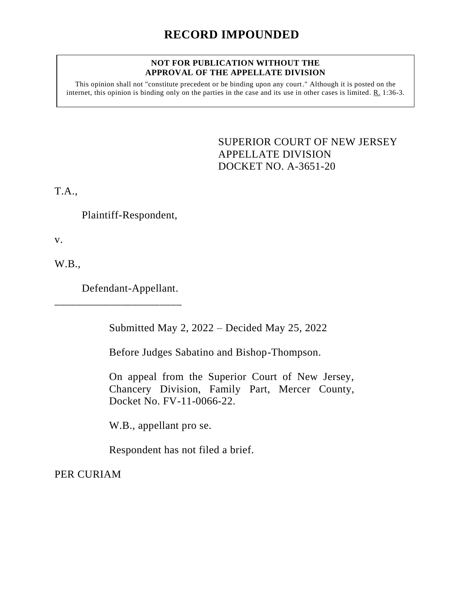## **RECORD IMPOUNDED**

## **NOT FOR PUBLICATION WITHOUT THE APPROVAL OF THE APPELLATE DIVISION**

This opinion shall not "constitute precedent or be binding upon any court." Although it is posted on the internet, this opinion is binding only on the parties in the case and its use in other cases is limited. R. 1:36-3.

> SUPERIOR COURT OF NEW JERSEY APPELLATE DIVISION DOCKET NO. A-3651-20

T.A.,

Plaintiff-Respondent,

v.

W.B.,

Defendant-Appellant.

\_\_\_\_\_\_\_\_\_\_\_\_\_\_\_\_\_\_\_\_\_\_\_

Submitted May 2, 2022 – Decided May 25, 2022

Before Judges Sabatino and Bishop-Thompson.

On appeal from the Superior Court of New Jersey, Chancery Division, Family Part, Mercer County, Docket No. FV-11-0066-22.

W.B., appellant pro se.

Respondent has not filed a brief.

PER CURIAM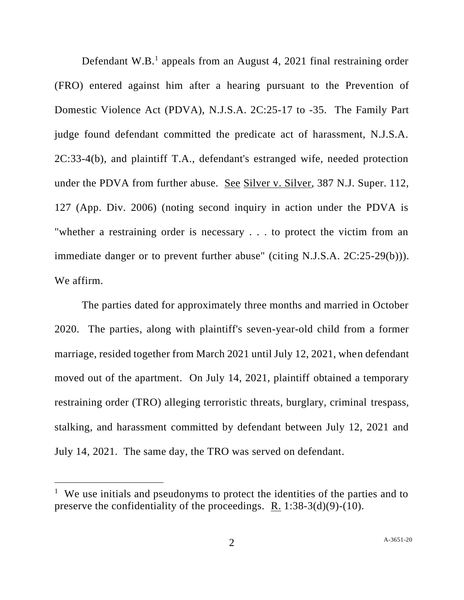Defendant  $W.B.<sup>1</sup>$  appeals from an August 4, 2021 final restraining order (FRO) entered against him after a hearing pursuant to the Prevention of Domestic Violence Act (PDVA), N.J.S.A. 2C:25-17 to -35. The Family Part judge found defendant committed the predicate act of harassment, N.J.S.A. 2C:33-4(b), and plaintiff T.A., defendant's estranged wife, needed protection under the PDVA from further abuse. See Silver v. Silver, 387 N.J. Super. 112, 127 (App. Div. 2006) (noting second inquiry in action under the PDVA is "whether a restraining order is necessary . . . to protect the victim from an immediate danger or to prevent further abuse" (citing N.J.S.A. 2C:25-29(b))). We affirm.

The parties dated for approximately three months and married in October 2020. The parties, along with plaintiff's seven-year-old child from a former marriage, resided together from March 2021 until July 12, 2021, when defendant moved out of the apartment. On July 14, 2021, plaintiff obtained a temporary restraining order (TRO) alleging terroristic threats, burglary, criminal trespass, stalking, and harassment committed by defendant between July 12, 2021 and July 14, 2021. The same day, the TRO was served on defendant.

<sup>&</sup>lt;sup>1</sup> We use initials and pseudonyms to protect the identities of the parties and to preserve the confidentiality of the proceedings. R. 1:38-3(d)(9)-(10).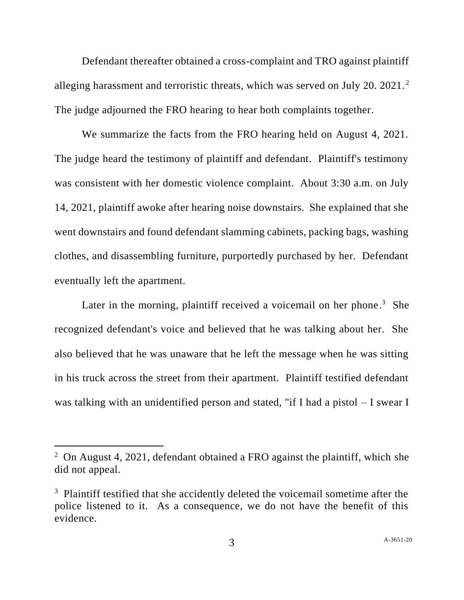Defendant thereafter obtained a cross-complaint and TRO against plaintiff alleging harassment and terroristic threats, which was served on July 20. 2021.<sup>2</sup> The judge adjourned the FRO hearing to hear both complaints together.

We summarize the facts from the FRO hearing held on August 4, 2021. The judge heard the testimony of plaintiff and defendant. Plaintiff's testimony was consistent with her domestic violence complaint. About 3:30 a.m. on July 14, 2021, plaintiff awoke after hearing noise downstairs. She explained that she went downstairs and found defendant slamming cabinets, packing bags, washing clothes, and disassembling furniture, purportedly purchased by her. Defendant eventually left the apartment.

Later in the morning, plaintiff received a voicemail on her phone.<sup>3</sup> She recognized defendant's voice and believed that he was talking about her. She also believed that he was unaware that he left the message when he was sitting in his truck across the street from their apartment. Plaintiff testified defendant was talking with an unidentified person and stated, "if I had a pistol – I swear I

<sup>&</sup>lt;sup>2</sup> On August 4, 2021, defendant obtained a FRO against the plaintiff, which she did not appeal.

<sup>&</sup>lt;sup>3</sup> Plaintiff testified that she accidently deleted the voicemail sometime after the police listened to it. As a consequence, we do not have the benefit of this evidence.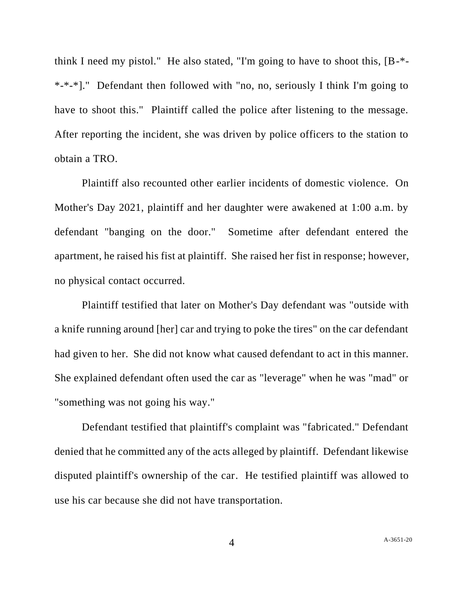think I need my pistol." He also stated, "I'm going to have to shoot this, [B-\*- \*-\*-\*]." Defendant then followed with "no, no, seriously I think I'm going to have to shoot this." Plaintiff called the police after listening to the message. After reporting the incident, she was driven by police officers to the station to obtain a TRO.

Plaintiff also recounted other earlier incidents of domestic violence. On Mother's Day 2021, plaintiff and her daughter were awakened at 1:00 a.m. by defendant "banging on the door." Sometime after defendant entered the apartment, he raised his fist at plaintiff. She raised her fist in response; however, no physical contact occurred.

Plaintiff testified that later on Mother's Day defendant was "outside with a knife running around [her] car and trying to poke the tires" on the car defendant had given to her. She did not know what caused defendant to act in this manner. She explained defendant often used the car as "leverage" when he was "mad" or "something was not going his way."

Defendant testified that plaintiff's complaint was "fabricated." Defendant denied that he committed any of the acts alleged by plaintiff. Defendant likewise disputed plaintiff's ownership of the car. He testified plaintiff was allowed to use his car because she did not have transportation.

4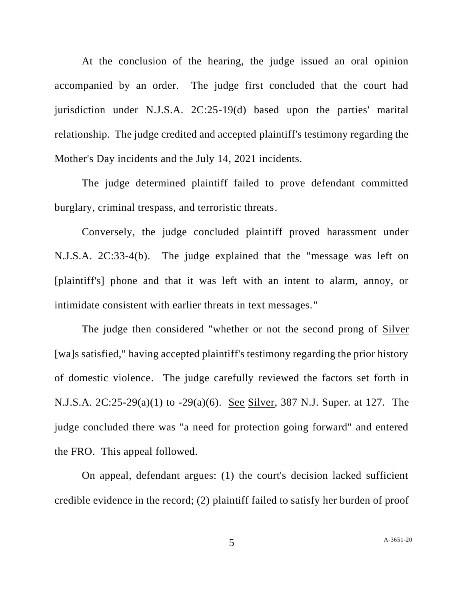At the conclusion of the hearing, the judge issued an oral opinion accompanied by an order. The judge first concluded that the court had jurisdiction under N.J.S.A. 2C:25-19(d) based upon the parties' marital relationship. The judge credited and accepted plaintiff's testimony regarding the Mother's Day incidents and the July 14, 2021 incidents.

The judge determined plaintiff failed to prove defendant committed burglary, criminal trespass, and terroristic threats.

Conversely, the judge concluded plaintiff proved harassment under N.J.S.A. 2C:33-4(b). The judge explained that the "message was left on [plaintiff's] phone and that it was left with an intent to alarm, annoy, or intimidate consistent with earlier threats in text messages."

The judge then considered "whether or not the second prong of Silver [wa]s satisfied," having accepted plaintiff's testimony regarding the prior history of domestic violence. The judge carefully reviewed the factors set forth in N.J.S.A. 2C:25-29(a)(1) to -29(a)(6). See Silver, 387 N.J. Super. at 127. The judge concluded there was "a need for protection going forward" and entered the FRO. This appeal followed.

On appeal, defendant argues: (1) the court's decision lacked sufficient credible evidence in the record; (2) plaintiff failed to satisfy her burden of proof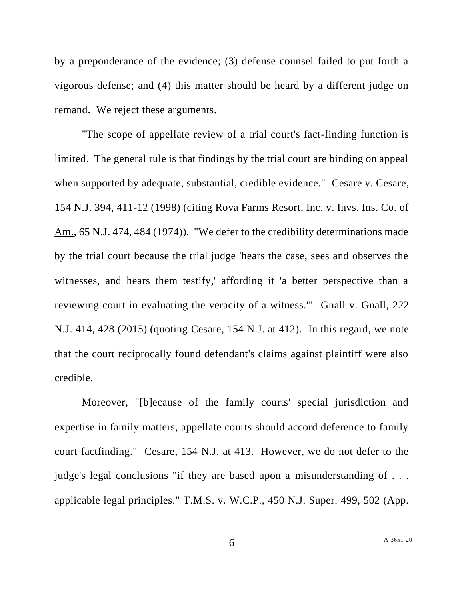by a preponderance of the evidence; (3) defense counsel failed to put forth a vigorous defense; and (4) this matter should be heard by a different judge on remand. We reject these arguments.

"The scope of appellate review of a trial court's fact-finding function is limited. The general rule is that findings by the trial court are binding on appeal when supported by adequate, substantial, credible evidence." Cesare v. Cesare, 154 N.J. 394, 411-12 (1998) (citing Rova Farms Resort, Inc. v. Invs. Ins. Co. of Am., 65 N.J. 474, 484 (1974)). "We defer to the credibility determinations made by the trial court because the trial judge 'hears the case, sees and observes the witnesses, and hears them testify,' affording it 'a better perspective than a reviewing court in evaluating the veracity of a witness.'" Gnall v. Gnall, 222 N.J. 414, 428 (2015) (quoting Cesare, 154 N.J. at 412). In this regard, we note that the court reciprocally found defendant's claims against plaintiff were also credible.

Moreover, "[b]ecause of the family courts' special jurisdiction and expertise in family matters, appellate courts should accord deference to family court factfinding." Cesare, 154 N.J. at 413. However, we do not defer to the judge's legal conclusions "if they are based upon a misunderstanding of . . . applicable legal principles." T.M.S. v. W.C.P., 450 N.J. Super. 499, 502 (App.

6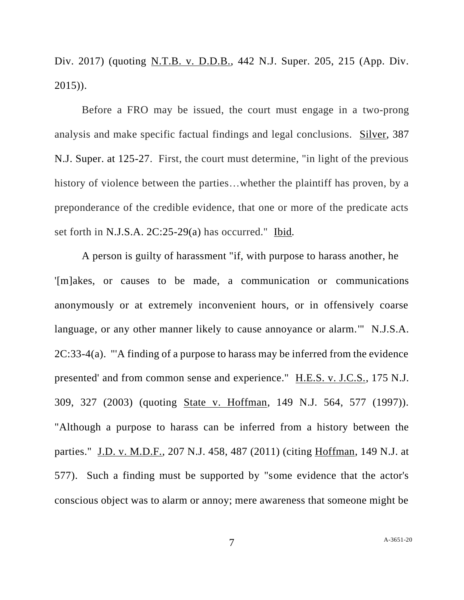Div. 2017) (quoting N.T.B. v. D.D.B., 442 N.J. Super. 205, 215 (App. Div. 2015)).

Before a FRO may be issued, the court must engage in a two-prong analysis and make specific factual findings and legal conclusions. Silver, 387 N.J. Super. at 125-27. First, the court must determine, "in light of the previous history of violence between the parties...whether the plaintiff has proven, by a preponderance of the credible evidence, that one or more of the predicate acts set forth in N.J.S.A. 2C:25-29(a) has occurred." Ibid*.*

A person is guilty of harassment "if, with purpose to harass another, he '[m]akes, or causes to be made, a communication or communications anonymously or at extremely inconvenient hours, or in offensively coarse language, or any other manner likely to cause annoyance or alarm.'" N.J.S.A. 2C:33-4(a). "'A finding of a purpose to harass may be inferred from the evidence presented' and from common sense and experience." H.E.S. v. J.C.S., 175 N.J. 309, 327 (2003) (quoting State v. Hoffman, 149 N.J. 564, 577 (1997)). "Although a purpose to harass can be inferred from a history between the parties." J.D. v. M.D.F., 207 N.J. 458, 487 (2011) (citing Hoffman, 149 N.J. at 577). Such a finding must be supported by "some evidence that the actor's conscious object was to alarm or annoy; mere awareness that someone might be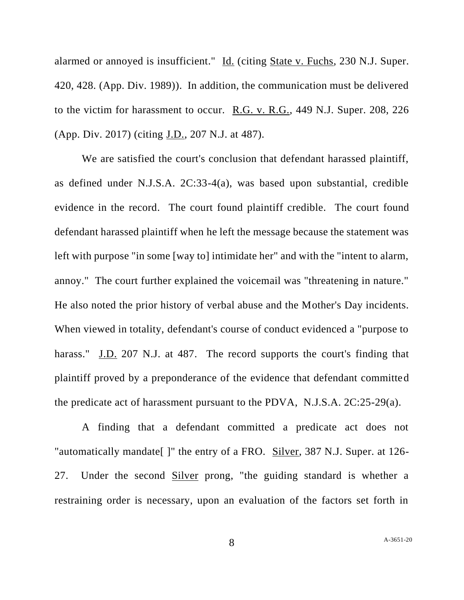alarmed or annoyed is insufficient." Id. (citing State v. Fuchs, 230 N.J. Super. 420, 428. (App. Div. 1989)). In addition, the communication must be delivered to the victim for harassment to occur. R.G. v. R.G., 449 N.J. Super. 208, 226 (App. Div. 2017) (citing J.D., 207 N.J. at 487).

We are satisfied the court's conclusion that defendant harassed plaintiff, as defined under N.J.S.A. 2C:33-4(a), was based upon substantial, credible evidence in the record. The court found plaintiff credible. The court found defendant harassed plaintiff when he left the message because the statement was left with purpose "in some [way to] intimidate her" and with the "intent to alarm, annoy." The court further explained the voicemail was "threatening in nature." He also noted the prior history of verbal abuse and the Mother's Day incidents. When viewed in totality, defendant's course of conduct evidenced a "purpose to harass." J.D. 207 N.J. at 487. The record supports the court's finding that plaintiff proved by a preponderance of the evidence that defendant committed the predicate act of harassment pursuant to the PDVA, N.J.S.A. 2C:25-29(a).

A finding that a defendant committed a predicate act does not "automatically mandate[ ]" the entry of a FRO. Silver, 387 N.J. Super. at 126- 27. Under the second Silver prong, "the guiding standard is whether a restraining order is necessary, upon an evaluation of the factors set forth in

8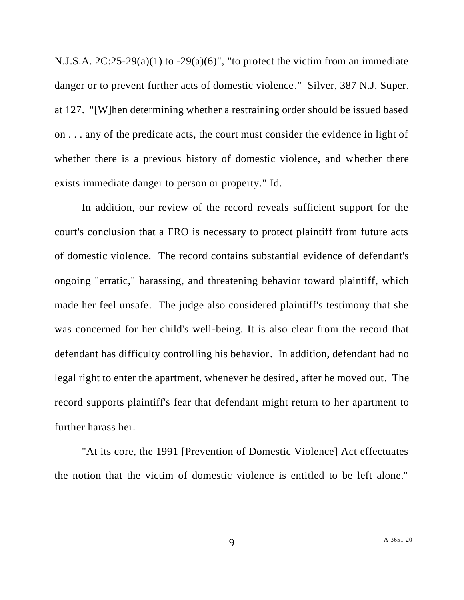N.J.S.A.  $2C:25-29(a)(1)$  to  $-29(a)(6)$ ", "to protect the victim from an immediate danger or to prevent further acts of domestic violence." Silver, 387 N.J. Super. at 127. "[W]hen determining whether a restraining order should be issued based on . . . any of the predicate acts, the court must consider the evidence in light of whether there is a previous history of domestic violence, and whether there exists immediate danger to person or property." Id.

In addition, our review of the record reveals sufficient support for the court's conclusion that a FRO is necessary to protect plaintiff from future acts of domestic violence. The record contains substantial evidence of defendant's ongoing "erratic," harassing, and threatening behavior toward plaintiff, which made her feel unsafe. The judge also considered plaintiff's testimony that she was concerned for her child's well-being. It is also clear from the record that defendant has difficulty controlling his behavior. In addition, defendant had no legal right to enter the apartment, whenever he desired, after he moved out. The record supports plaintiff's fear that defendant might return to her apartment to further harass her.

"At its core, the 1991 [Prevention of Domestic Violence] Act effectuates the notion that the victim of domestic violence is entitled to be left alone."